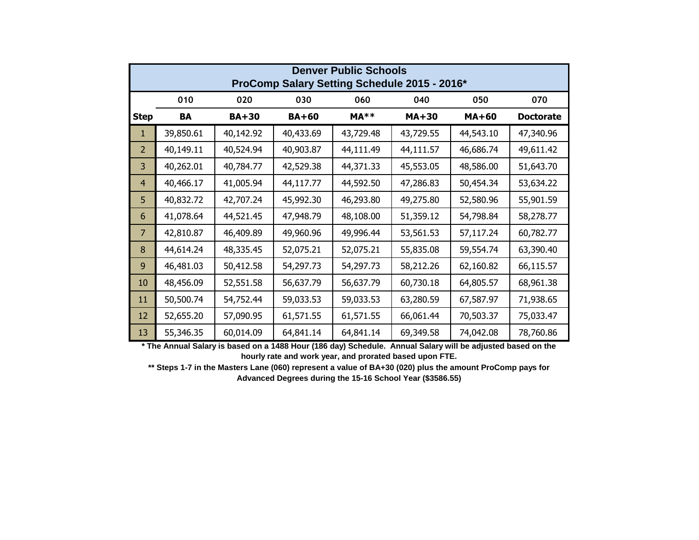| <b>Denver Public Schools</b><br>ProComp Salary Setting Schedule 2015 - 2016* |           |              |              |           |           |              |                  |
|------------------------------------------------------------------------------|-----------|--------------|--------------|-----------|-----------|--------------|------------------|
|                                                                              | 010       | 020          | 030          | 060       | 040       | 050          | 070              |
| <b>Step</b>                                                                  | BA        | <b>BA+30</b> | <b>BA+60</b> | $MA**$    | $MA+30$   | <b>MA+60</b> | <b>Doctorate</b> |
| 1.                                                                           | 39,850.61 | 40,142.92    | 40,433.69    | 43,729.48 | 43,729.55 | 44,543.10    | 47,340.96        |
| $\overline{2}$                                                               | 40,149.11 | 40,524.94    | 40,903.87    | 44,111.49 | 44,111.57 | 46,686.74    | 49,611.42        |
| 3                                                                            | 40,262.01 | 40,784.77    | 42,529.38    | 44,371.33 | 45,553.05 | 48,586.00    | 51,643.70        |
| $\overline{4}$                                                               | 40,466.17 | 41,005.94    | 44,117.77    | 44,592.50 | 47,286.83 | 50,454.34    | 53,634.22        |
| 5                                                                            | 40,832.72 | 42,707.24    | 45,992.30    | 46,293.80 | 49,275.80 | 52,580.96    | 55,901.59        |
| 6                                                                            | 41,078.64 | 44,521.45    | 47,948.79    | 48,108.00 | 51,359.12 | 54,798.84    | 58,278.77        |
| $\overline{7}$                                                               | 42,810.87 | 46,409.89    | 49,960.96    | 49,996.44 | 53,561.53 | 57,117.24    | 60,782.77        |
| 8                                                                            | 44,614.24 | 48,335.45    | 52,075.21    | 52,075.21 | 55,835.08 | 59,554.74    | 63,390.40        |
| 9                                                                            | 46,481.03 | 50,412.58    | 54,297.73    | 54,297.73 | 58,212.26 | 62,160.82    | 66,115.57        |
| 10                                                                           | 48,456.09 | 52,551.58    | 56,637.79    | 56,637.79 | 60,730.18 | 64,805.57    | 68,961.38        |
| 11                                                                           | 50,500.74 | 54,752.44    | 59,033.53    | 59,033.53 | 63,280.59 | 67,587.97    | 71,938.65        |
| 12                                                                           | 52,655.20 | 57,090.95    | 61,571.55    | 61,571.55 | 66,061.44 | 70,503.37    | 75,033.47        |
| 13                                                                           | 55,346.35 | 60,014.09    | 64,841.14    | 64,841.14 | 69,349.58 | 74,042.08    | 78,760.86        |

**\* The Annual Salary is based on a 1488 Hour (186 day) Schedule. Annual Salary will be adjusted based on the hourly rate and work year, and prorated based upon FTE.**

**\*\* Steps 1-7 in the Masters Lane (060) represent a value of BA+30 (020) plus the amount ProComp pays for Advanced Degrees during the 15-16 School Year (\$3586.55)**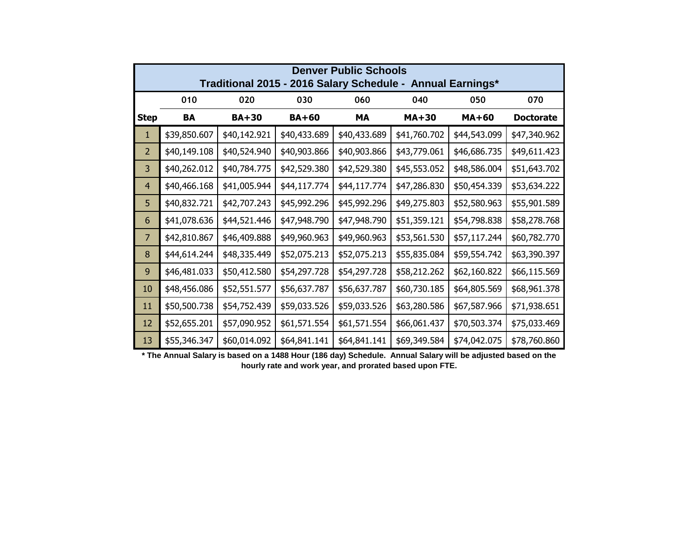| <b>Denver Public Schools</b><br>Traditional 2015 - 2016 Salary Schedule - Annual Earnings* |              |              |              |              |              |              |                  |
|--------------------------------------------------------------------------------------------|--------------|--------------|--------------|--------------|--------------|--------------|------------------|
|                                                                                            | 010          | 020          | 030          | 060          | 040          | 050          | 070              |
| <b>Step</b>                                                                                | BA           | <b>BA+30</b> | <b>BA+60</b> | <b>MA</b>    | <b>MA+30</b> | $MA+60$      | <b>Doctorate</b> |
| 1                                                                                          | \$39,850.607 | \$40,142.921 | \$40,433.689 | \$40,433.689 | \$41,760.702 | \$44,543.099 | \$47,340.962     |
| $\overline{2}$                                                                             | \$40,149.108 | \$40,524.940 | \$40,903.866 | \$40,903.866 | \$43,779.061 | \$46,686.735 | \$49,611.423     |
| 3                                                                                          | \$40,262.012 | \$40,784.775 | \$42,529.380 | \$42,529.380 | \$45,553.052 | \$48,586.004 | \$51,643.702     |
| $\overline{4}$                                                                             | \$40,466.168 | \$41,005.944 | \$44,117.774 | \$44,117.774 | \$47,286.830 | \$50,454.339 | \$53,634.222     |
| 5                                                                                          | \$40,832.721 | \$42,707.243 | \$45,992.296 | \$45,992.296 | \$49,275.803 | \$52,580.963 | \$55,901.589     |
| 6                                                                                          | \$41,078.636 | \$44,521.446 | \$47,948.790 | \$47,948.790 | \$51,359.121 | \$54,798.838 | \$58,278.768     |
| $\overline{7}$                                                                             | \$42,810.867 | \$46,409.888 | \$49,960.963 | \$49,960.963 | \$53,561.530 | \$57,117.244 | \$60,782.770     |
| 8                                                                                          | \$44,614.244 | \$48,335.449 | \$52,075.213 | \$52,075.213 | \$55,835.084 | \$59,554.742 | \$63,390.397     |
| 9                                                                                          | \$46,481.033 | \$50,412.580 | \$54,297.728 | \$54,297.728 | \$58,212.262 | \$62,160.822 | \$66,115.569     |
| 10                                                                                         | \$48,456.086 | \$52,551.577 | \$56,637.787 | \$56,637.787 | \$60,730.185 | \$64,805.569 | \$68,961.378     |
| 11                                                                                         | \$50,500.738 | \$54,752.439 | \$59,033.526 | \$59,033.526 | \$63,280.586 | \$67,587.966 | \$71,938.651     |
| 12                                                                                         | \$52,655.201 | \$57,090.952 | \$61,571.554 | \$61,571.554 | \$66,061.437 | \$70,503.374 | \$75,033.469     |
| 13                                                                                         | \$55,346.347 | \$60,014.092 | \$64,841.141 | \$64,841.141 | \$69,349.584 | \$74,042.075 | \$78,760.860     |

**\* The Annual Salary is based on a 1488 Hour (186 day) Schedule. Annual Salary will be adjusted based on the hourly rate and work year, and prorated based upon FTE.**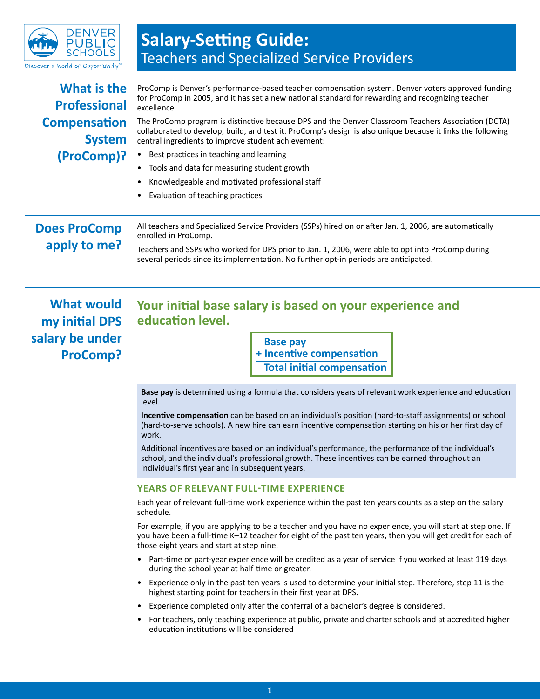

## **Salary-Setting Guide:**  Teachers and Specialized Service Providers

| What is the<br><b>Professional</b>   | ProComp is Denver's performance-based teacher compensation system. Denver voters approved funding<br>for ProComp in 2005, and it has set a new national standard for rewarding and recognizing teacher<br>excellence.<br>The ProComp program is distinctive because DPS and the Denver Classroom Teachers Association (DCTA)<br>collaborated to develop, build, and test it. ProComp's design is also unique because it links the following<br>central ingredients to improve student achievement: |  |  |  |  |
|--------------------------------------|----------------------------------------------------------------------------------------------------------------------------------------------------------------------------------------------------------------------------------------------------------------------------------------------------------------------------------------------------------------------------------------------------------------------------------------------------------------------------------------------------|--|--|--|--|
| <b>Compensation</b><br><b>System</b> |                                                                                                                                                                                                                                                                                                                                                                                                                                                                                                    |  |  |  |  |
| (ProComp)?                           | Best practices in teaching and learning<br>$\bullet$<br>Tools and data for measuring student growth<br>Knowledgeable and motivated professional staff<br>Evaluation of teaching practices                                                                                                                                                                                                                                                                                                          |  |  |  |  |
| <b>Does ProComp</b><br>apply to me?  | All teachers and Specialized Service Providers (SSPs) hired on or after Jan. 1, 2006, are automatically<br>enrolled in ProComp.<br>Teachers and SSPs who worked for DPS prior to Jan. 1, 2006, were able to opt into ProComp during<br>several periods since its implementation. No further opt-in periods are anticipated.                                                                                                                                                                        |  |  |  |  |

**What would my initial DPS salary be under ProComp?**

## **Your initial base salary is based on your experience and education level.**

**Base pay + Incentive compensation Total initial compensation**

**Base pay** is determined using a formula that considers years of relevant work experience and education level.

**Incentive compensation** can be based on an individual's position (hard-to-staff assignments) or school (hard-to-serve schools). A new hire can earn incentive compensation starting on his or her first day of work.

Additional incentives are based on an individual's performance, the performance of the individual's school, and the individual's professional growth. These incentives can be earned throughout an individual's first year and in subsequent years.

### **YEARS OF RELEVANT FULL-TIME EXPERIENCE**

Each year of relevant full-time work experience within the past ten years counts as a step on the salary schedule.

For example, if you are applying to be a teacher and you have no experience, you will start at step one. If you have been a full-time K–12 teacher for eight of the past ten years, then you will get credit for each of those eight years and start at step nine.

- Part-time or part-year experience will be credited as a year of service if you worked at least 119 days during the school year at half-time or greater.
- Experience only in the past ten years is used to determine your initial step. Therefore, step 11 is the highest starting point for teachers in their first year at DPS.
- Experience completed only after the conferral of a bachelor's degree is considered.
- For teachers, only teaching experience at public, private and charter schools and at accredited higher education institutions will be considered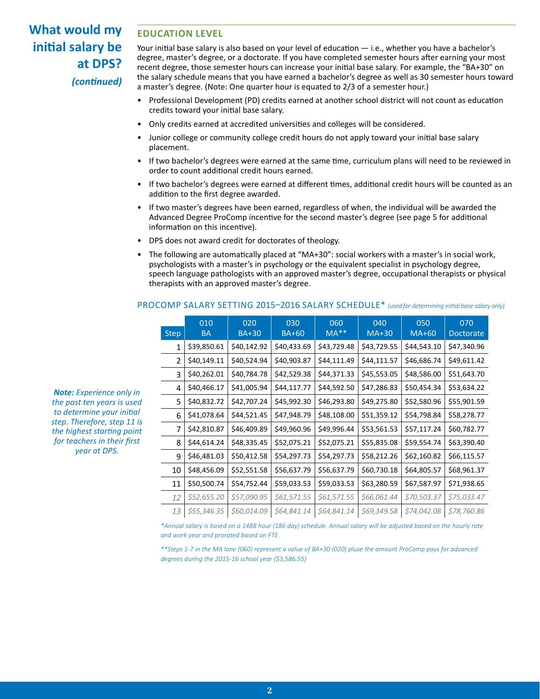## **What would my initial salary be at DPS?** *(continued)*

### **EDUCATION LEVEL**

Your initial base salary is also based on your level of education — i.e., whether you have a bachelor's degree, master's degree, or a doctorate. If you have completed semester hours after earning your most recent degree, those semester hours can increase your initial base salary. For example, the "BA+30" on the salary schedule means that you have earned a bachelor's degree as well as 30 semester hours toward a master's degree. (Note: One quarter hour is equated to 2/3 of a semester hour.)

- Professional Development (PD) credits earned at another school district will not count as education credits toward your initial base salary.
- Only credits earned at accredited universities and colleges will be considered.
- Junior college or community college credit hours do not apply toward your initial base salary placement.
- If two bachelor's degrees were earned at the same time, curriculum plans will need to be reviewed in order to count additional credit hours earned.
- If two bachelor's degrees were earned at different times, additional credit hours will be counted as an addition to the first degree awarded.
- If two master's degrees have been earned, regardless of when, the individual will be awarded the Advanced Degree ProComp incentive for the second master's degree (see page 5 for additional information on this incentive).
- DPS does not award credit for doctorates of theology.
- The following are automatically placed at "MA+30": social workers with a master's in social work, psychologists with a master's in psychology or the equivalent specialist in psychology degree, speech language pathologists with an approved master's degree, occupational therapists or physical therapists with an approved master's degree.

|              | 010         | 020          | 030          | 060         | 040         | 050         | 070              |
|--------------|-------------|--------------|--------------|-------------|-------------|-------------|------------------|
| <b>Step</b>  | <b>BA</b>   | <b>BA+30</b> | <b>BA+60</b> | $MA**$      | $MA+30$     | MA+60       | <b>Doctorate</b> |
| $\mathbf{1}$ | \$39,850.61 | \$40,142.92  | \$40,433.69  | \$43,729.48 | \$43,729.55 | \$44,543.10 | \$47,340.96      |
| 2            | \$40,149.11 | \$40,524.94  | \$40,903.87  | \$44,111.49 | \$44,111.57 | \$46,686.74 | \$49,611.42      |
| 3            | \$40,262.01 | \$40,784.78  | \$42,529.38  | \$44,371.33 | \$45,553.05 | \$48,586.00 | \$51,643.70      |
| 4            | \$40,466.17 | \$41,005.94  | \$44,117.77  | \$44,592.50 | \$47,286.83 | \$50,454.34 | \$53,634.22      |
| 5            | \$40,832.72 | \$42,707.24  | \$45,992.30  | \$46,293.80 | \$49,275.80 | \$52,580.96 | \$55,901.59      |
| 6            | \$41,078.64 | \$44,521.45  | \$47,948.79  | \$48,108.00 | \$51,359.12 | \$54,798.84 | \$58,278.77      |
| 7            | \$42,810.87 | \$46,409.89  | \$49,960.96  | \$49,996.44 | \$53,561.53 | \$57,117.24 | \$60,782.77      |
| 8            | \$44,614.24 | \$48,335.45  | \$52,075.21  | \$52,075.21 | \$55,835.08 | \$59,554.74 | \$63,390.40      |
| 9            | \$46,481.03 | \$50,412.58  | \$54,297.73  | \$54,297.73 | \$58,212.26 | \$62,160.82 | \$66,115.57      |
| 10           | \$48,456.09 | \$52,551.58  | \$56,637.79  | \$56,637.79 | \$60,730.18 | \$64,805.57 | \$68,961.37      |
| 11           | \$50,500.74 | \$54,752.44  | \$59,033.53  | \$59,033.53 | \$63,280.59 | \$67,587.97 | \$71,938.65      |
| 12           | \$52,655.20 | \$57,090.95  | \$61,571.55  | \$61,571.55 | \$66,061.44 | \$70,503.37 | \$75,033.47      |
| 13           | \$55,346.35 | \$60,014.09  | \$64,841.14  | \$64,841.14 | \$69,349.58 | \$74,042.08 | \$78,760.86      |

### PROCOMP SALARY SETTING 2015–2016 SALARY SCHEDULE\* *(used for determining initial base salary only)*

*Note: Experience only in the past ten years is used to determine your initial step. Therefore, step 11 is the highest starting point for teachers in their first year at DPS.* 

> *\*Annual salary is based on a 1488 hour (186 day) schedule. Annual salary will be adjusted based on the hourly rate and work year and prorated based on FTE.*

*\*\*Steps 1-7 in the MA lane (060) represent a value of BA+30 (020) pluse the amount ProComp pays for advanced degrees during the 2015-16 school year (\$3,586.55)*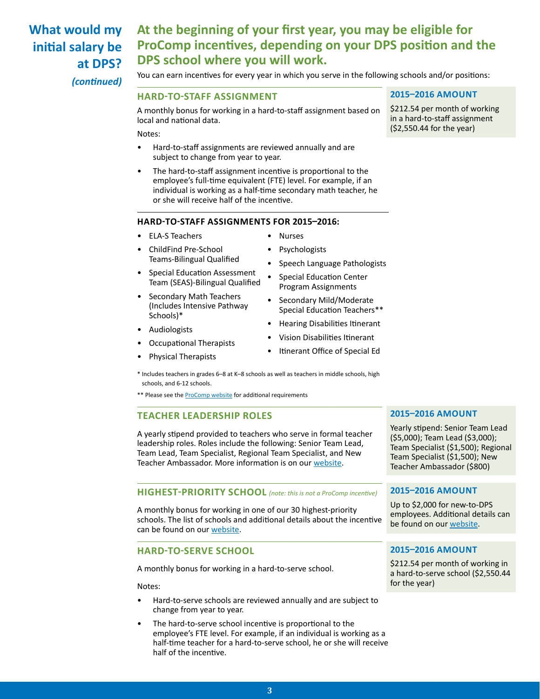## **What would my initial salary be at DPS?**

## **At the beginning of your first year, you may be eligible for ProComp incentives, depending on your DPS position and the DPS school where you will work.**

*(continued)*

You can earn incentives for every year in which you serve in the following schools and/or positions:

### **HARD-TO-STAFF ASSIGNMENT**

A monthly bonus for working in a hard-to-staff assignment based on local and national data.

Notes:

- Hard-to-staff assignments are reviewed annually and are subject to change from year to year.
- The hard-to-staff assignment incentive is proportional to the employee's full-time equivalent (FTE) level. For example, if an individual is working as a half-time secondary math teacher, he or she will receive half of the incentive.

### **HARD-TO-STAFF ASSIGNMENTS FOR 2015–2016:**

- ELA-S Teachers
- ChildFind Pre-School Teams-Bilingual Qualified
- Special Education Assessment Team (SEAS)-Bilingual Qualified
- Secondary Math Teachers (Includes Intensive Pathway Schools)\*
- Audiologists
- Occupational Therapists
- Physical Therapists
- Nurses
- **Psychologists**
- Speech Language Pathologists
- Special Education Center Program Assignments
- Secondary Mild/Moderate Special Education Teachers\*\*
- Hearing Disabilities Itinerant
- Vision Disabilities Itinerant
- Itinerant Office of Special Ed
- \* Includes teachers in grades 6–8 at K–8 schools as well as teachers in middle schools, high schools, and 6-12 schools.
- \*\* Please see the **[ProComp website](http://denverprocomp.dpsk12.org/H2Staff2011-12)** for additional requirements

### **TEACHER LEADERSHIP ROLES**

A yearly stipend provided to teachers who serve in formal teacher leadership roles. Roles include the following: Senior Team Lead, Team Lead, Team Specialist, Regional Team Specialist, and New Teacher Ambassador. More information is on our [website](http://www.tinyurl.com/DPSteacherleaderroles).

### **HIGHEST-PRIORITY SCHOOL** *(note: this is not a ProComp incentive)*

A monthly bonus for working in one of our 30 highest-priority schools. The list of schools and additional details about the incentive can be found on our [website](http://hr.dpsk12.org/wp-content/uploads/2015/08/Overview-doc_teacher-incentive-HP_final.pdf).

### **HARD-TO-SERVE SCHOOL**

A monthly bonus for working in a hard-to-serve school.

Notes:

- Hard-to-serve schools are reviewed annually and are subject to change from year to year.
- The hard-to-serve school incentive is proportional to the employee's FTE level. For example, if an individual is working as a half-time teacher for a hard-to-serve school, he or she will receive half of the incentive.

### **2015–2016 AMOUNT**

\$212.54 per month of working in a hard-to-staff assignment (\$2,550.44 for the year)

### **2015–2016 AMOUNT**

Yearly stipend: Senior Team Lead (\$5,000); Team Lead (\$3,000); Team Specialist (\$1,500); Regional Team Specialist (\$1,500); New Teacher Ambassador (\$800)

### **2015–2016 AMOUNT**

Up to \$2,000 for new-to-DPS employees. Additional details can be found on our [website](http://hr.dpsk12.org/wp-content/uploads/2015/08/Overview-doc_teacher-incentive-HP_final.pdf).

### **2015–2016 AMOUNT**

\$212.54 per month of working in a hard-to-serve school (\$2,550.44 for the year)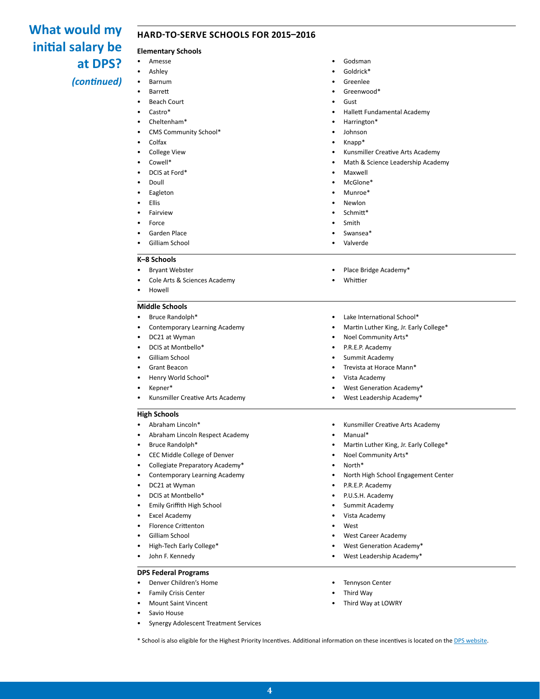# **initial salary be at DPS?**

### What would my HARD-TO-SERVE SCHOOLS FOR 2015-2016

### **Elementary Schools**

*(continued)*

• Ashley • Barnum • Barrett

• Amesse

- **Beach Court**
- Castro\*
- Cheltenham\*
- CMS Community School\*
- Colfax
- College View
- Cowell\*
- DCIS at Ford\*
- Doull
- **Eagleton**
- Ellis
- **Fairview**
- Force
- Garden Place
- Gilliam School

#### **K–8 Schools**

- Bryant Webster
- Cole Arts & Sciences Academy
- Howell

### **Middle Schools**

- Bruce Randolph\*
- Contemporary Learning Academy
- DC21 at Wyman
- DCIS at Montbello\*
- Gilliam School
- Grant Beacon
- Henry World School\*
- Kepner\*
- Kunsmiller Creative Arts Academy

#### **High Schools**

- Abraham Lincoln\*
- Abraham Lincoln Respect Academy
- Bruce Randolph\*
- CEC Middle College of Denver
- Collegiate Preparatory Academy\*
- Contemporary Learning Academy
- DC21 at Wyman
- DCIS at Montbello\*
- Emily Griffith High School
- **Excel Academy**
- Florence Crittenton
- Gilliam School
- High-Tech Early College\*
- John F. Kennedy

#### **DPS Federal Programs**

- Denver Children's Home
- Family Crisis Center
- Mount Saint Vincent
- Savio House
- Synergy Adolescent Treatment Services

\* School is also eligible for the Highest Priority Incentives. Additional information on these incentives is located on the [DPS website](http://hr.dpsk12.org/wp-content/uploads/2015/08/Overview-doc_teacher-incentive-HP_final.pdf).

**4**

- Godsman
- Goldrick\*
- **Greenlee** • Greenwood\*
- Gust
- 
- Hallett Fundamental Academy
- Harrington\*
- Johnson
- Knapp\*
- Kunsmiller Creative Arts Academy
- Math & Science Leadership Academy
- **Maxwell**
- McGlone\*
- Munroe\*
- Newlon
- Schmitt\*
- Smith
- Swansea\*
- Valverde
- 
- Place Bridge Academy\*
- **Whittier**
- Lake International School\*
- Martin Luther King, Jr. Early College\*
- Noel Community Arts\*
- P.R.E.P. Academy
- Summit Academy
- Trevista at Horace Mann\*
- Vista Academy
- West Generation Academy\*
- West Leadership Academy\*
- Kunsmiller Creative Arts Academy
- Manual\*
- Martin Luther King, Jr. Early College\*
- Noel Community Arts\*
- North\*
- North High School Engagement Center
- P.R.E.P. Academy
- P.U.S.H. Academy
- Summit Academy
- Vista Academy
- **West**
- West Career Academy

**Tennyson Center** • Third Way

Third Way at LOWRY

• West Generation Academy\* • West Leadership Academy\*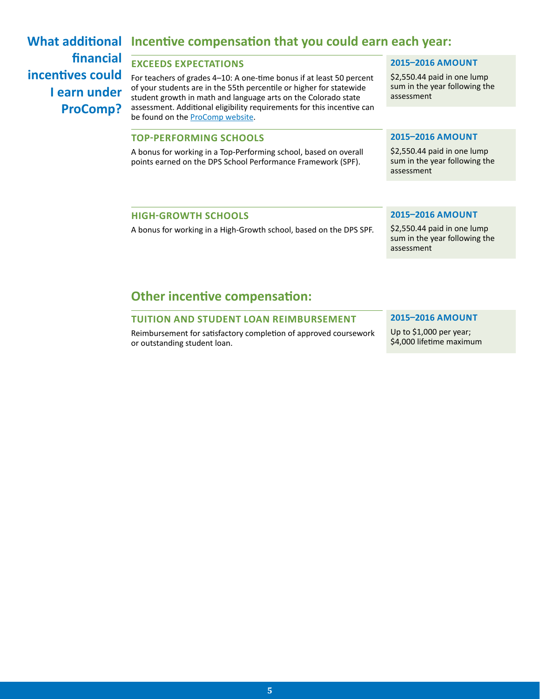## **financial incentives could I earn under ProComp?**

## **What additional Incentive compensation that you could earn each year:**

### **EXCEEDS EXPECTATIONS**

For teachers of grades 4–10: A one-time bonus if at least 50 percent of your students are in the 55th percentile or higher for statewide student growth in math and language arts on the Colorado state assessment. Additional eligibility requirements for this incentive can be found on the **[ProComp website](http://denverprocomp.dpsk12.org/ExceedsExpectations)**.

### **TOP-PERFORMING SCHOOLS**

A bonus for working in a Top-Performing school, based on overall points earned on the DPS School Performance Framework (SPF).

### **2015–2016 AMOUNT**

\$2,550.44 paid in one lump sum in the year following the assessment

### **2015–2016 AMOUNT**

\$2,550.44 paid in one lump sum in the year following the assessment

### **HIGH-GROWTH SCHOOLS**

A bonus for working in a High-Growth school, based on the DPS SPF.

### **2015–2016 AMOUNT**

\$2,550.44 paid in one lump sum in the year following the assessment

### **Other incentive compensation:**

### **TUITION AND STUDENT LOAN REIMBURSEMENT**

Reimbursement for satisfactory completion of approved coursework or outstanding student loan.

### **2015–2016 AMOUNT**

Up to \$1,000 per year; \$4,000 lifetime maximum